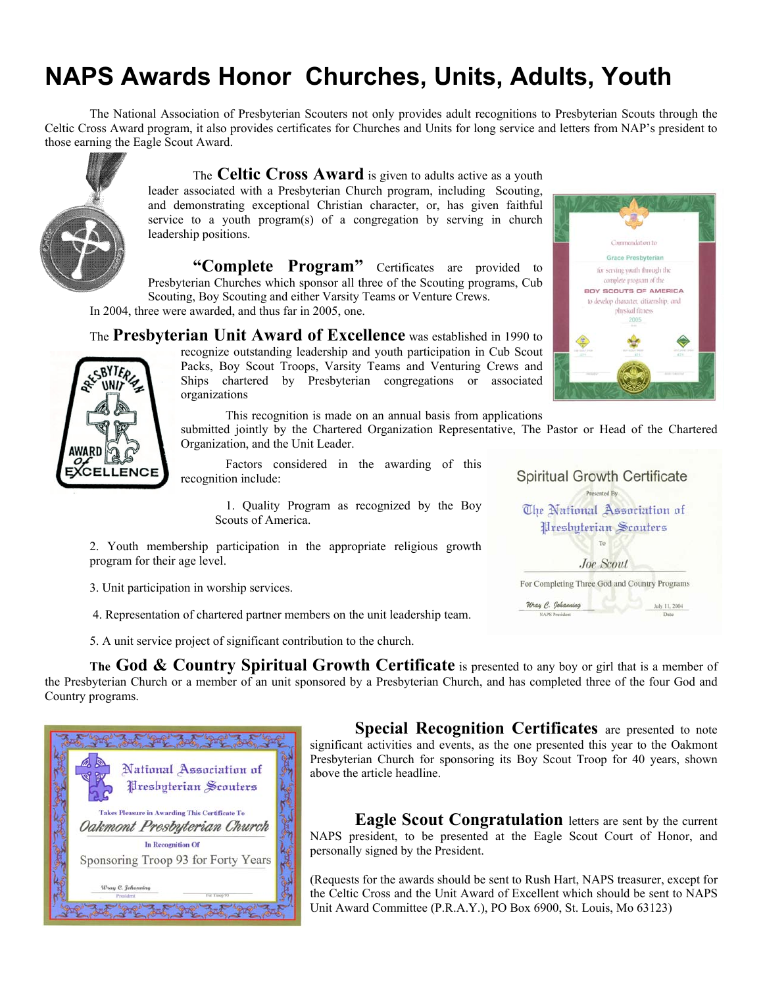# **NAPS Awards Honor Churches, Units, Adults, Youth**

The National Association of Presbyterian Scouters not only provides adult recognitions to Presbyterian Scouts through the Celtic Cross Award program, it also provides certificates for Churches and Units for long service and letters from NAP's president to those earning the Eagle Scout Award.



The **Celtic Cross Award** is given to adults active as a youth leader associated with a Presbyterian Church program, including Scouting, and demonstrating exceptional Christian character, or, has given faithful service to a youth program(s) of a congregation by serving in church leadership positions.

**"Complete Program"** Certificates are provided to Presbyterian Churches which sponsor all three of the Scouting programs, Cub Scouting, Boy Scouting and either Varsity Teams or Venture Crews.

In 2004, three were awarded, and thus far in 2005, one.

The **Presbyterian Unit Award of Excellence** was established in 1990 to recognize outstanding leadership and youth participation in Cub Scout Packs, Boy Scout Troops, Varsity Teams and Venturing Crews and **SBYTERS** Ships chartered by Presbyterian congregations or associated **WND** organizations

This recognition is made on an annual basis from applications

submitted jointly by the Chartered Organization Representative, The Pastor or Head of the Chartered Organization, and the Unit Leader.

Factors considered in the awarding of this recognition include:

> 1. Quality Program as recognized by the Boy Scouts of America.

2. Youth membership participation in the appropriate religious growth program for their age level.

3. Unit participation in worship services.

4. Representation of chartered partner members on the unit leadership team.

5. A unit service project of significant contribution to the church.

**The God & Country Spiritual Growth Certificate** is presented to any boy or girl that is a member of the Presbyterian Church or a member of an unit sponsored by a Presbyterian Church, and has completed three of the four God and Country programs.



**Special Recognition Certificates** are presented to note significant activities and events, as the one presented this year to the Oakmont Presbyterian Church for sponsoring its Boy Scout Troop for 40 years, shown above the article headline.

**Eagle Scout Congratulation** letters are sent by the current NAPS president, to be presented at the Eagle Scout Court of Honor, and personally signed by the President.

(Requests for the awards should be sent to Rush Hart, NAPS treasurer, except for the Celtic Cross and the Unit Award of Excellent which should be sent to NAPS Unit Award Committee (P.R.A.Y.), PO Box 6900, St. Louis, Mo 63123)



| <b>Spiritual Growth Certificate</b>           |               |
|-----------------------------------------------|---------------|
| Presented By                                  |               |
| The National Association of                   |               |
| Preshyterian Scouters                         |               |
| To                                            |               |
| Joe Scout                                     |               |
| For Completing Three God and Country Programs |               |
| Wray C. Johanning                             | July 11, 2004 |
| <b>NAPS President</b>                         | Date          |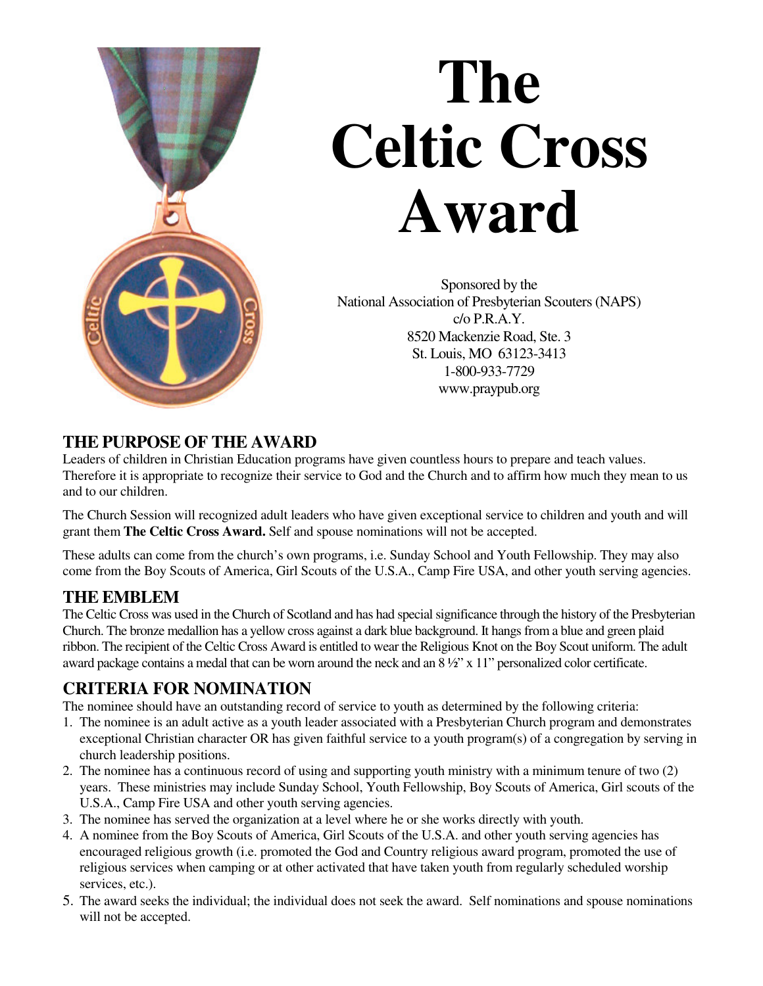

# **The Celtic Cross Award**

Sponsored by the National Association of Presbyterian Scouters(NAPS)  $c/\sigma$  P.R.A.Y. 8520 Mackenzie Road, Ste. 3 St. Louis, MO 63123-3413 1-800-933-7729 www.praypub.org

## **THE PURPOSE OF THE AWARD**

Leaders of children in Christian Education programs have given countless hours to prepare and teach values. Therefore it is appropriate to recognize their service to God and the Church and to affirm how much they mean to us and to our children.

The Church Session will recognized adult leaders who have given exceptional service to children and youth and will grant them **The Celtic Cross Award.** Self and spouse nominations will not be accepted.

These adults can come from the church's own programs, i.e. Sunday School and Youth Fellowship. They may also come from the Boy Scouts of America, Girl Scouts of the U.S.A., Camp Fire USA, and other youth serving agencies.

## **THE EMBLEM**

The Celtic Cross was used in the Church of Scotland and has had specialsignificance through the history of the Presbyterian Church. The bronze medallion has a yellow cross against a dark blue background. It hangsfrom a blue and green plaid ribbon. The recipient of the Celtic Cross Award is entitled to wear the Religious Knot on the Boy Scout uniform. The adult award package contains a medal that can be worn around the neck and an 8 ½" x 11" personalized color certificate.

## **CRITERIA FOR NOMINATION**

The nominee should have an outstanding record of service to youth as determined by the following criteria:

- 1. The nominee is an adult active as a youth leader associated with a Presbyterian Church program and demonstrates exceptional Christian character OR has given faithful service to a youth program(s) of a congregation by serving in church leadership positions.
- 2. The nominee has a continuous record of using and supporting youth ministry with a minimum tenure of two (2) years. These ministries may include Sunday School, Youth Fellowship, Boy Scouts of America, Girl scouts of the U.S.A., Camp Fire USA and other youth serving agencies.
- 3. The nominee has served the organization at a level where he or she works directly with youth.
- 4. A nominee from the Boy Scouts of America, Girl Scouts of the U.S.A. and other youth serving agencies has encouraged religious growth (i.e. promoted the God and Country religious award program, promoted the use of religious services when camping or at other activated that have taken youth from regularly scheduled worship services, etc.).
- 5. The award seeks the individual; the individual does not seek the award. Self nominations and spouse nominations will not be accepted.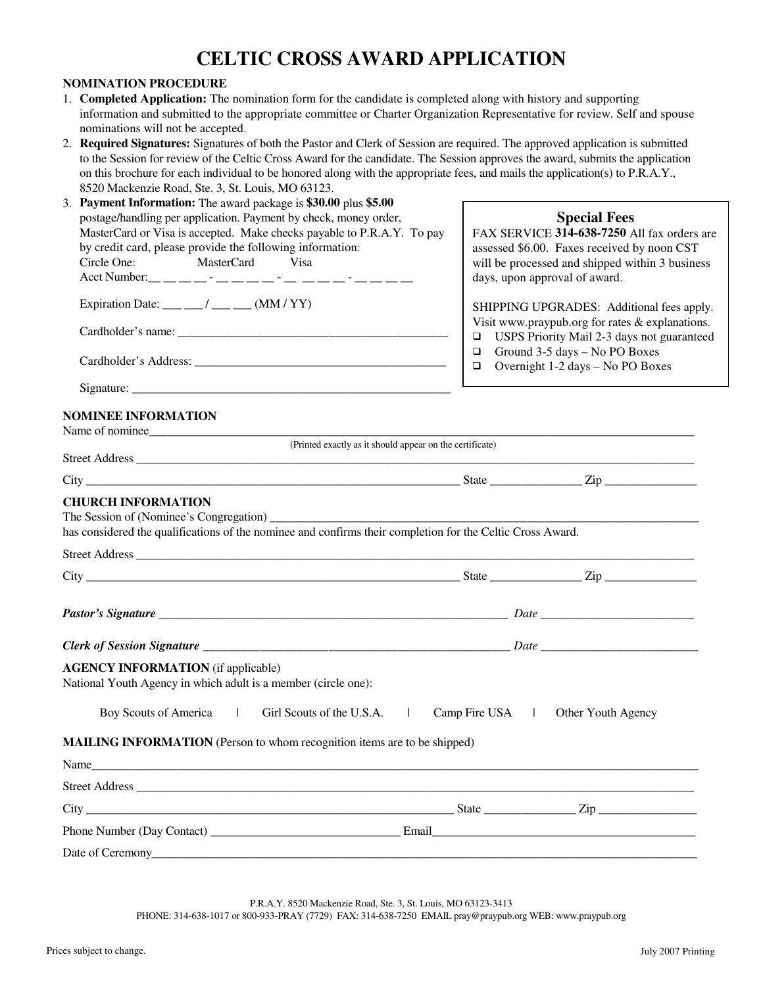## **CELTIC CROSS AWARD APPLICATION**

#### **NOMINATION PROCEDURE**

- 1. **Completed Application:** The nomination form for the candidate is completed along with history and supporting information and submitted to the appropriate committee or Charter Organization Representative for review. Self and spouse nominations will not be accepted.
- 2. **Required Signatures:** Signatures of both the Pastor and Clerk of Session are required. The approved application is submitted to the Session for review of the Celtic Cross Award for the candidate. The Session approves the award, submits the application on this brochure for each individual to be honored along with the appropriate fees, and mails the application(s) to P.R.A.Y., 8520 Mackenzie Road, Ste. 3, St. Louis, MO 63123.

| $\sigma$ macketizic road, Stc. 9, St. Equis, MO $\sigma$ 9.12<br>3. Payment Information: The award package is \$30.00 plus \$5.00<br>postage/handling per application. Payment by check, money order,<br>MasterCard or Visa is accepted. Make checks payable to P.R.A.Y. To pay | <b>Special Fees</b><br>FAX SERVICE 314-638-7250 All fax orders are                                                                  |
|---------------------------------------------------------------------------------------------------------------------------------------------------------------------------------------------------------------------------------------------------------------------------------|-------------------------------------------------------------------------------------------------------------------------------------|
| by credit card, please provide the following information:<br>MasterCard<br>Visa<br>Circle One:                                                                                                                                                                                  | assessed \$6.00. Faxes received by noon CST<br>will be processed and shipped within 3 business<br>days, upon approval of award.     |
| Expiration Date: $\frac{\ }{\ }$ / ___ __ / (MM / YY)                                                                                                                                                                                                                           | SHIPPING UPGRADES: Additional fees apply.<br>Visit www.praypub.org for rates & explanations.                                        |
|                                                                                                                                                                                                                                                                                 | USPS Priority Mail 2-3 days not guaranteed<br>□<br>Ground 3-5 days - No PO Boxes<br>❏<br>Overnight 1-2 days - No PO Boxes<br>$\Box$ |
|                                                                                                                                                                                                                                                                                 |                                                                                                                                     |
| <b>NOMINEE INFORMATION</b>                                                                                                                                                                                                                                                      |                                                                                                                                     |
|                                                                                                                                                                                                                                                                                 | (Printed exactly as it should appear on the certificate)                                                                            |
|                                                                                                                                                                                                                                                                                 |                                                                                                                                     |
| has considered the qualifications of the nominee and confirms their completion for the Celtic Cross Award.                                                                                                                                                                      |                                                                                                                                     |
|                                                                                                                                                                                                                                                                                 |                                                                                                                                     |
|                                                                                                                                                                                                                                                                                 |                                                                                                                                     |
| <b>AGENCY INFORMATION</b> (if applicable)<br>National Youth Agency in which adult is a member (circle one):                                                                                                                                                                     |                                                                                                                                     |
| Boy Scouts of America  <br>Girl Scouts of the U.S.A.                                                                                                                                                                                                                            | Camp Fire USA  <br>Other Youth Agency                                                                                               |
| <b>MAILING INFORMATION</b> (Person to whom recognition items are to be shipped)                                                                                                                                                                                                 |                                                                                                                                     |
| Name and the contract of the contract of the contract of the contract of the contract of the contract of the contract of the contract of the contract of the contract of the contract of the contract of the contract of the c                                                  |                                                                                                                                     |
|                                                                                                                                                                                                                                                                                 |                                                                                                                                     |
|                                                                                                                                                                                                                                                                                 |                                                                                                                                     |
| Phone Number (Day Contact) Email Email                                                                                                                                                                                                                                          |                                                                                                                                     |
|                                                                                                                                                                                                                                                                                 |                                                                                                                                     |
|                                                                                                                                                                                                                                                                                 |                                                                                                                                     |

P.R.A.Y. 8520 Mackenzie Road, Ste. 3, St. Louis, MO 63123-3413 PHONE: 314-638-1017 or 800-933-PRAY (7729) FAX: 314-638-7250 EMAIL pray@praypub.org WEB: www.praypub.org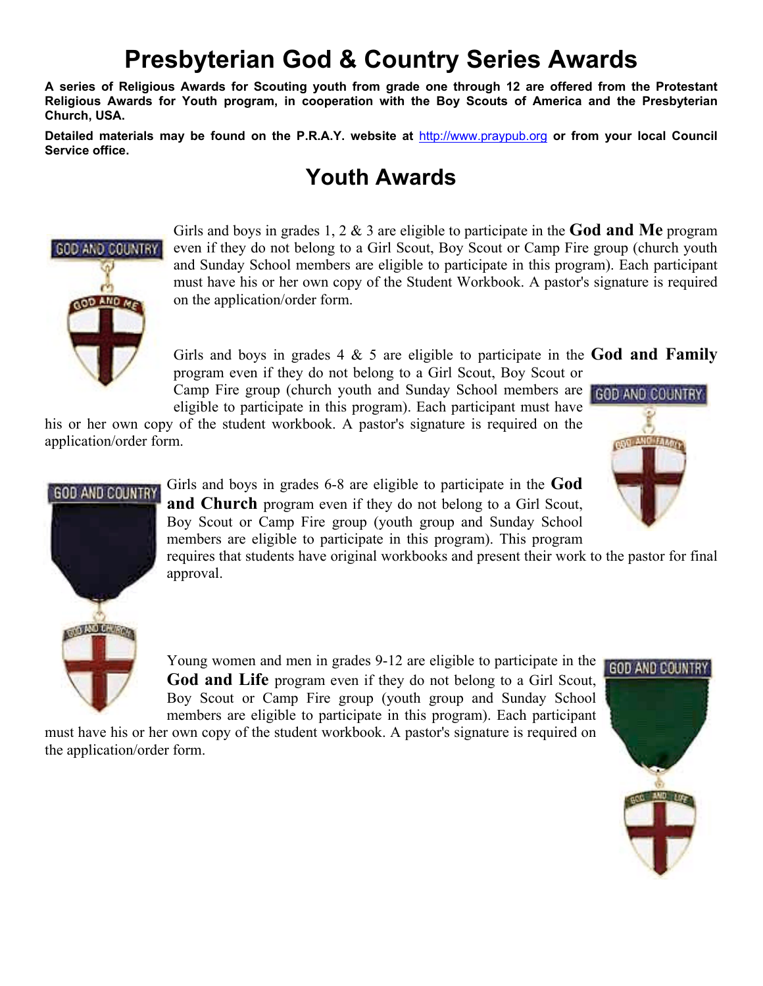# **Presbyterian God & Country Series Awards**

**A series of Religious Awards for Scouting youth from grade one through 12 are offered from the Protestant Religious Awards for Youth program, in cooperation with the Boy Scouts of America and the Presbyterian Church, USA.** 

**Detailed materials may be found on the P.R.A.Y. website at** http://www.praypub.org **or from your local Council Service office.** 

# **Youth Awards**



Girls and boys in grades 1, 2 & 3 are eligible to participate in the **God and Me** program even if they do not belong to a Girl Scout, Boy Scout or Camp Fire group (church youth and Sunday School members are eligible to participate in this program). Each participant must have his or her own copy of the Student Workbook. A pastor's signature is required on the application/order form.

Girls and boys in grades 4 & 5 are eligible to participate in the **God and Family**  program even if they do not belong to a Girl Scout, Boy Scout or

Camp Fire group (church youth and Sunday School members are GOD AND COUNTRY eligible to participate in this program). Each participant must have

his or her own copy of the student workbook. A pastor's signature is required on the application/order form.





Girls and boys in grades 6-8 are eligible to participate in the **God and Church** program even if they do not belong to a Girl Scout, Boy Scout or Camp Fire group (youth group and Sunday School members are eligible to participate in this program). This program

requires that students have original workbooks and present their work to the pastor for final approval.

Young women and men in grades 9-12 are eligible to participate in the **God and Life** program even if they do not belong to a Girl Scout, Boy Scout or Camp Fire group (youth group and Sunday School members are eligible to participate in this program). Each participant

must have his or her own copy of the student workbook. A pastor's signature is required on the application/order form.

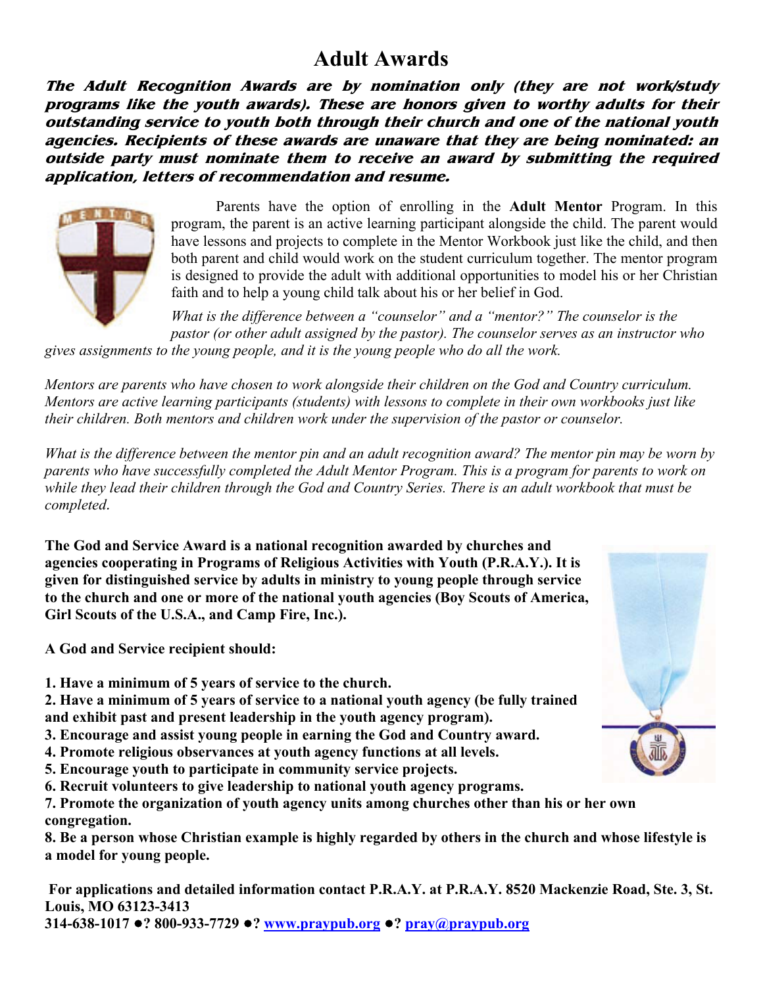## **Adult Awards**

**The Adult Recognition Awards are by nomination only (they are not work/study programs like the youth awards). These are honors given to worthy adults for their outstanding service to youth both through their church and one of the national youth agencies. Recipients of these awards are unaware that they are being nominated: an outside party must nominate them to receive an award by submitting the required application, letters of recommendation and resume.** 



Parents have the option of enrolling in the **Adult Mentor** Program. In this program, the parent is an active learning participant alongside the child. The parent would have lessons and projects to complete in the Mentor Workbook just like the child, and then both parent and child would work on the student curriculum together. The mentor program is designed to provide the adult with additional opportunities to model his or her Christian faith and to help a young child talk about his or her belief in God.

*What is the difference between a "counselor" and a "mentor?" The counselor is the pastor (or other adult assigned by the pastor). The counselor serves as an instructor who* 

*gives assignments to the young people, and it is the young people who do all the work.* 

*Mentors are parents who have chosen to work alongside their children on the God and Country curriculum. Mentors are active learning participants (students) with lessons to complete in their own workbooks just like their children. Both mentors and children work under the supervision of the pastor or counselor.* 

*What is the difference between the mentor pin and an adult recognition award? The mentor pin may be worn by parents who have successfully completed the Adult Mentor Program. This is a program for parents to work on while they lead their children through the God and Country Series. There is an adult workbook that must be completed.*

**The God and Service Award is a national recognition awarded by churches and agencies cooperating in Programs of Religious Activities with Youth (P.R.A.Y.). It is given for distinguished service by adults in ministry to young people through service to the church and one or more of the national youth agencies (Boy Scouts of America, Girl Scouts of the U.S.A., and Camp Fire, Inc.).** 

**A God and Service recipient should:** 

**1. Have a minimum of 5 years of service to the church.**

**2. Have a minimum of 5 years of service to a national youth agency (be fully trained and exhibit past and present leadership in the youth agency program).** 

- **3. Encourage and assist young people in earning the God and Country award.**
- **4. Promote religious observances at youth agency functions at all levels.**
- **5. Encourage youth to participate in community service projects.**

**6. Recruit volunteers to give leadership to national youth agency programs.** 

**7. Promote the organization of youth agency units among churches other than his or her own congregation.** 

**8. Be a person whose Christian example is highly regarded by others in the church and whose lifestyle is a model for young people.** 

 **For applications and detailed information contact P.R.A.Y. at P.R.A.Y. 8520 Mackenzie Road, Ste. 3, St. Louis, MO 63123-3413 314-638-1017** !**? 800-933-7729** !**? www.praypub.org** !**? pray@praypub.org**